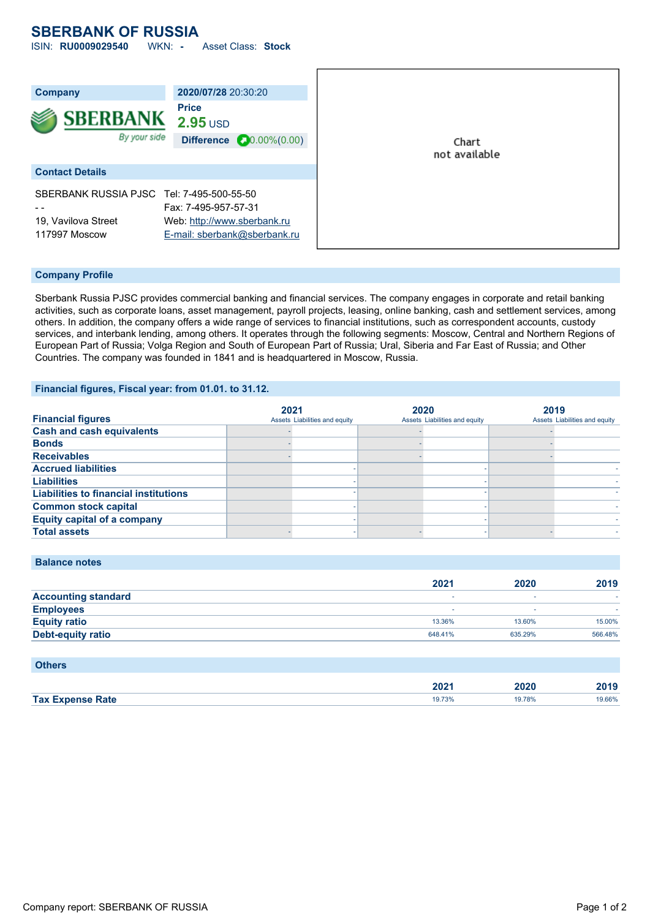### **SBERBANK OF RUSSIA** ISIN: **RU0009029540** WKN: **-** Asset Class: **Stock**

| <b>Company</b>                            | 2020/07/28 20:30:20              |               |
|-------------------------------------------|----------------------------------|---------------|
|                                           | <b>Price</b>                     |               |
| <b>SBERBANK</b>                           | $2.95$ USD                       |               |
| By your side                              | Difference $\bullet$ 0.00%(0.00) | Chart         |
|                                           |                                  | not available |
| <b>Contact Details</b>                    |                                  |               |
| SBERBANK RUSSIA PJSC Tel: 7-495-500-55-50 |                                  |               |
|                                           | Fax: 7-495-957-57-31             |               |
| 19, Vavilova Street                       | Web: http://www.sberbank.ru      |               |
| 117997 Moscow                             | E-mail: sberbank@sberbank.ru     |               |

#### **Company Profile**

Sberbank Russia PJSC provides commercial banking and financial services. The company engages in corporate and retail banking activities, such as corporate loans, asset management, payroll projects, leasing, online banking, cash and settlement services, among others. In addition, the company offers a wide range of services to financial institutions, such as correspondent accounts, custody services, and interbank lending, among others. It operates through the following segments: Moscow, Central and Northern Regions of European Part of Russia; Volga Region and South of European Part of Russia; Ural, Siberia and Far East of Russia; and Other Countries. The company was founded in 1841 and is headquartered in Moscow, Russia.

#### **Financial figures, Fiscal year: from 01.01. to 31.12.**

|                                              | 2021 |                               | 2020 |                               | 2019 |                               |
|----------------------------------------------|------|-------------------------------|------|-------------------------------|------|-------------------------------|
| <b>Financial figures</b>                     |      | Assets Liabilities and equity |      | Assets Liabilities and equity |      | Assets Liabilities and equity |
| <b>Cash and cash equivalents</b>             |      |                               |      |                               |      |                               |
| <b>Bonds</b>                                 |      |                               |      |                               |      |                               |
| <b>Receivables</b>                           |      |                               |      |                               |      |                               |
| <b>Accrued liabilities</b>                   |      |                               |      |                               |      |                               |
| <b>Liabilities</b>                           |      |                               |      |                               |      |                               |
| <b>Liabilities to financial institutions</b> |      |                               |      |                               |      |                               |
| <b>Common stock capital</b>                  |      |                               |      |                               |      |                               |
| <b>Equity capital of a company</b>           |      |                               |      |                               |      |                               |
| <b>Total assets</b>                          |      |                               |      |                               |      |                               |

#### **Balance notes**

|                            | 2021    | 2020    | 2019    |
|----------------------------|---------|---------|---------|
| <b>Accounting standard</b> |         |         |         |
| <b>Employees</b>           |         | ۰       |         |
| <b>Equity ratio</b>        | 13.36%  | 13.60%  | 15.00%  |
| <b>Debt-equity ratio</b>   | 648.41% | 635.29% | 566.48% |

| <b>Others</b>           |        |        |        |
|-------------------------|--------|--------|--------|
|                         | 2021   | 2020   | 2019   |
| <b>Tax Expense Rate</b> | 19.73% | 19.78% | 19.66% |